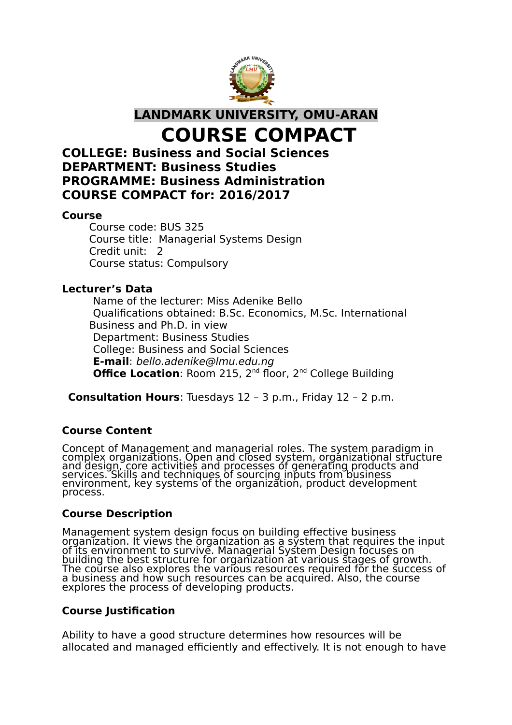

**LANDMARK UNIVERSITY, OMU-ARAN**

**COURSE COMPACT**

## **COLLEGE: Business and Social Sciences DEPARTMENT: Business Studies PROGRAMME: Business Administration COURSE COMPACT for: 2016/2017**

#### **Course**

Course code: BUS 325 Course title: Managerial Systems Design Credit unit: 2 Course status: Compulsory

#### **Lecturer's Data**

Name of the lecturer: Miss Adenike Bello Qualifications obtained: B.Sc. Economics, M.Sc. International Business and Ph.D. in view Department: Business Studies College: Business and Social Sciences **E-mail**: bello.adenike@lmu.edu.ng **Office Location: Room 215, 2<sup>nd</sup> floor, 2<sup>nd</sup> College Building** 

**Consultation Hours**: Tuesdays 12 – 3 p.m., Friday 12 – 2 p.m.

## **Course Content**

Concept of Management and managerial roles. The system paradigm in complex organizations. Open and closed system, organizational structure and design, core activities and processes of generating products and services. Skills and techniques of sourcing inputs from business environment, key systems of the organization, product development process.

## **Course Description**

Management system design focus on building effective business organization. It views the organization as a system that requires the input of its environment to survive. Managerial System Design focuses on building the best structure for organization at various stages of growth. The course also explores the various resources required for the success of a business and how such resources can be acquired. Also, the course explores the process of developing products.

## **Course Justification**

Ability to have a good structure determines how resources will be allocated and managed efficiently and effectively. It is not enough to have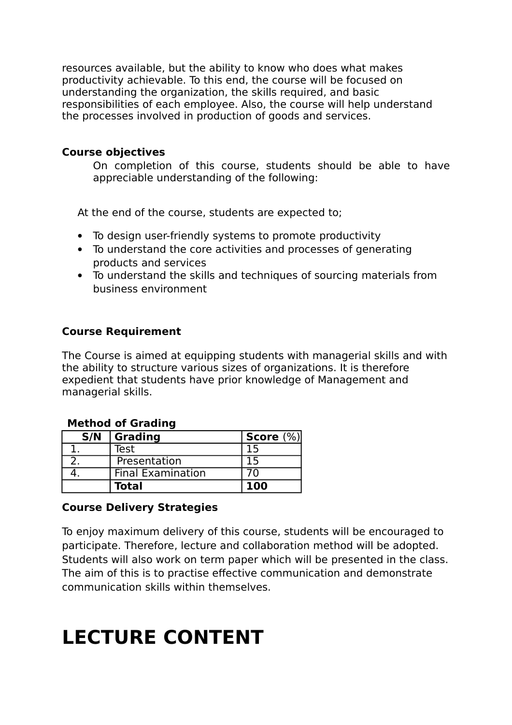resources available, but the ability to know who does what makes productivity achievable. To this end, the course will be focused on understanding the organization, the skills required, and basic responsibilities of each employee. Also, the course will help understand the processes involved in production of goods and services.

#### **Course objectives**

On completion of this course, students should be able to have appreciable understanding of the following:

At the end of the course, students are expected to;

- To design user-friendly systems to promote productivity
- To understand the core activities and processes of generating products and services
- To understand the skills and techniques of sourcing materials from business environment

## **Course Requirement**

The Course is aimed at equipping students with managerial skills and with the ability to structure various sizes of organizations. It is therefore expedient that students have prior knowledge of Management and managerial skills.

| <b>Method of Grading</b> |                          |              |
|--------------------------|--------------------------|--------------|
| S/N                      | Grading                  | Score $(\%)$ |
|                          | Test                     |              |
|                          | Presentation             | 15           |
|                          | <b>Final Examination</b> | 7٨           |
|                          | <b>Total</b>             | <b>100</b>   |

#### **Method of Grading**

#### **Course Delivery Strategies**

To enjoy maximum delivery of this course, students will be encouraged to participate. Therefore, lecture and collaboration method will be adopted. Students will also work on term paper which will be presented in the class. The aim of this is to practise effective communication and demonstrate communication skills within themselves.

# **LECTURE CONTENT**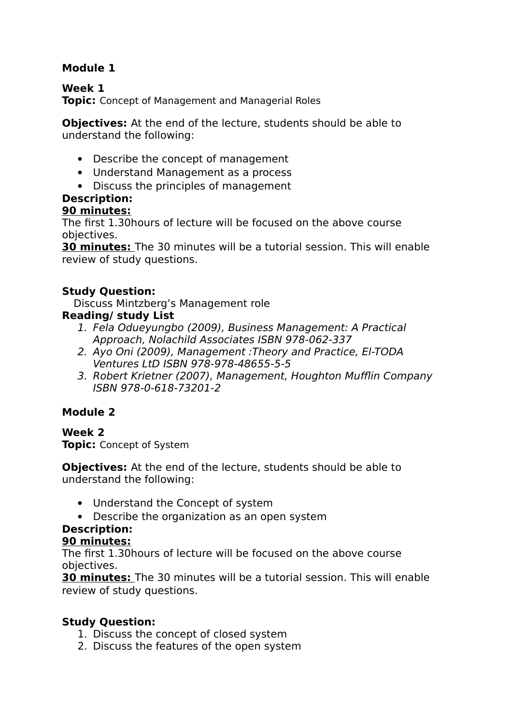## **Module 1**

## **Week 1**

**Topic:** Concept of Management and Managerial Roles

**Objectives:** At the end of the lecture, students should be able to understand the following:

- Describe the concept of management
- Understand Management as a process
- Discuss the principles of management

## **Description:**

#### **90 minutes:**

The first 1.30hours of lecture will be focused on the above course objectives.

**30 minutes:** The 30 minutes will be a tutorial session. This will enable review of study questions.

#### **Study Question:**

Discuss Mintzberg's Management role

#### **Reading/ study List**

- 1. Fela Odueyungbo (2009), Business Management: A Practical Approach, Nolachild Associates ISBN 978-062-337
- 2. Ayo Oni (2009), Management :Theory and Practice, El-TODA Ventures LtD ISBN 978-978-48655-5-5
- 3. Robert Krietner (2007), Management, Houghton Mufflin Company ISBN 978-0-618-73201-2

## **Module 2**

#### **Week 2 Topic:** Concept of System

**Objectives:** At the end of the lecture, students should be able to understand the following:

- Understand the Concept of system
- Describe the organization as an open system

## **Description:**

#### **90 minutes:**

The first 1.30hours of lecture will be focused on the above course objectives.

**30 minutes:** The 30 minutes will be a tutorial session. This will enable review of study questions.

#### **Study Question:**

- 1. Discuss the concept of closed system
- 2. Discuss the features of the open system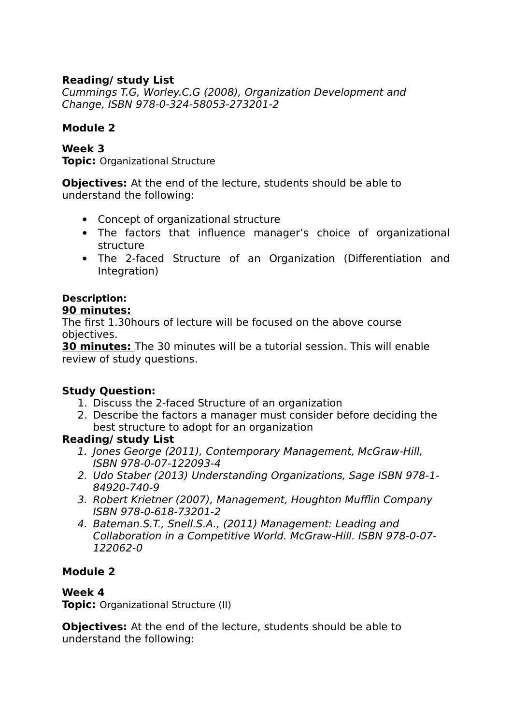## **Reading/ study List**

Cummings T.G, Worley.C.G (2008), Organization Development and Change, ISBN 978-0-324-58053-273201-2

#### **Module 2**

**Week 3 Topic:** Organizational Structure

**Objectives:** At the end of the lecture, students should be able to understand the following:

- Concept of organizational structure
- The factors that influence manager's choice of organizational structure
- The 2-faced Structure of an Organization (Differentiation and Integration)

## **Description:**

## **90 minutes:**

The first 1.30hours of lecture will be focused on the above course objectives.

**30 minutes:** The 30 minutes will be a tutorial session. This will enable review of study questions.

## **Study Question:**

- 1. Discuss the 2-faced Structure of an organization
- 2. Describe the factors a manager must consider before deciding the best structure to adopt for an organization

## **Reading/ study List**

- 1. Jones George (2011), Contemporary Management, McGraw-Hill, ISBN 978-0-07-122093-4
- 2. Udo Staber (2013) Understanding Organizations, Sage ISBN 978-1- 84920-740-9
- 3. Robert Krietner (2007), Management, Houghton Mufflin Company ISBN 978-0-618-73201-2
- 4. Bateman.S.T., Snell.S.A., (2011) Management: Leading and Collaboration in a Competitive World. McGraw-Hill. ISBN 978-0-07- 122062-0

## **Module 2**

#### **Week 4**

**Topic:** Organizational Structure (II)

**Objectives:** At the end of the lecture, students should be able to understand the following: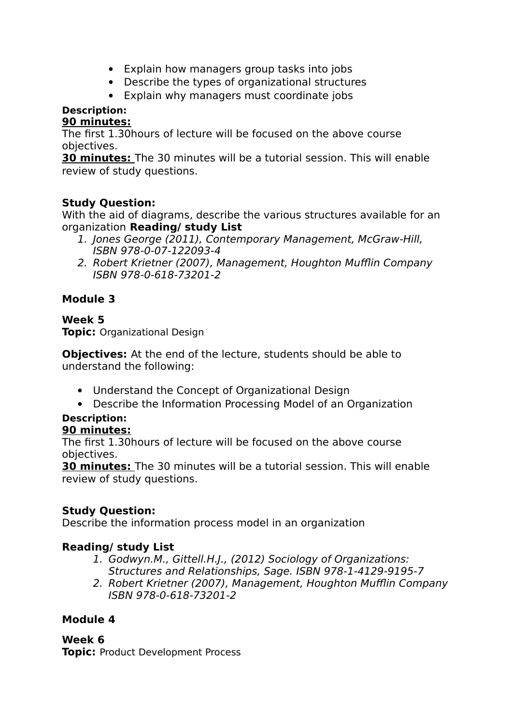- Explain how managers group tasks into jobs
- Describe the types of organizational structures
- Explain why managers must coordinate jobs

## **Description:**

#### **90 minutes:**

The first 1.30hours of lecture will be focused on the above course objectives.

**30 minutes:** The 30 minutes will be a tutorial session. This will enable review of study questions.

## **Study Question:**

With the aid of diagrams, describe the various structures available for an organization **Reading/ study List** 

- 1. Jones George (2011), Contemporary Management, McGraw-Hill, ISBN 978-0-07-122093-4
- 2. Robert Krietner (2007), Management, Houghton Mufflin Company ISBN 978-0-618-73201-2

## **Module 3**

#### **Week 5 Topic:** Organizational Design

**Objectives:** At the end of the lecture, students should be able to understand the following:

- Understand the Concept of Organizational Design
- Describe the Information Processing Model of an Organization

#### **Description: 90 minutes:**

The first 1.30hours of lecture will be focused on the above course objectives.

**30 minutes:** The 30 minutes will be a tutorial session. This will enable review of study questions.

## **Study Question:**

Describe the information process model in an organization

## **Reading/ study List**

- 1. Godwyn.M., Gittell.H.J., (2012) Sociology of Organizations: Structures and Relationships, Sage. ISBN 978-1-4129-9195-7
- 2. Robert Krietner (2007), Management, Houghton Mufflin Company ISBN 978-0-618-73201-2

## **Module 4**

**Week 6 Topic:** Product Development Process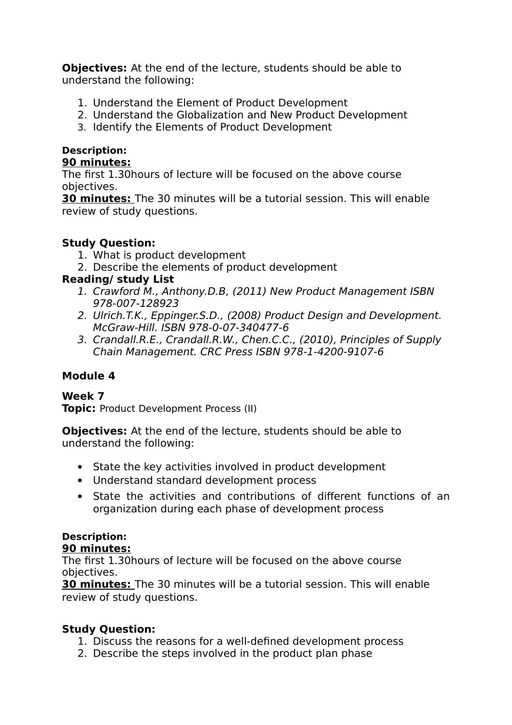**Objectives:** At the end of the lecture, students should be able to understand the following:

- 1. Understand the Element of Product Development
- 2. Understand the Globalization and New Product Development
- 3. Identify the Elements of Product Development

#### **Description: 90 minutes:**

The first 1.30hours of lecture will be focused on the above course objectives.

**30 minutes:** The 30 minutes will be a tutorial session. This will enable review of study questions.

## **Study Question:**

- 1. What is product development
- 2. Describe the elements of product development

## **Reading/ study List**

- 1. Crawford M., Anthony.D.B, (2011) New Product Management ISBN 978-007-128923
- 2. Ulrich.T.K., Eppinger.S.D., (2008) Product Design and Development. McGraw-Hill. ISBN 978-0-07-340477-6
- 3. Crandall.R.E., Crandall.R.W., Chen.C.C., (2010), Principles of Supply Chain Management. CRC Press ISBN 978-1-4200-9107-6

## **Module 4**

## **Week 7**

**Topic:** Product Development Process (II)

**Objectives:** At the end of the lecture, students should be able to understand the following:

- State the key activities involved in product development
- Understand standard development process
- State the activities and contributions of different functions of an organization during each phase of development process

## **Description:**

## **90 minutes:**

The first 1.30hours of lecture will be focused on the above course objectives.

**30 minutes:** The 30 minutes will be a tutorial session. This will enable review of study questions.

## **Study Question:**

- 1. Discuss the reasons for a well-defined development process
- 2. Describe the steps involved in the product plan phase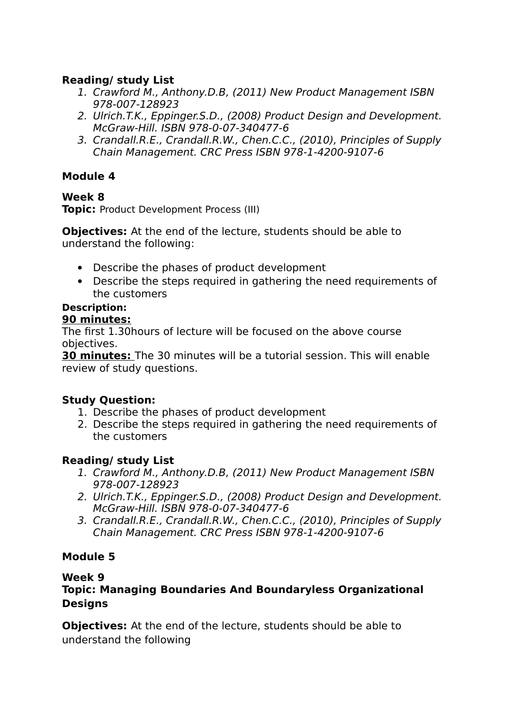## **Reading/ study List**

- 1. Crawford M., Anthony.D.B, (2011) New Product Management ISBN 978-007-128923
- 2. Ulrich.T.K., Eppinger.S.D., (2008) Product Design and Development. McGraw-Hill. ISBN 978-0-07-340477-6
- 3. Crandall.R.E., Crandall.R.W., Chen.C.C., (2010), Principles of Supply Chain Management. CRC Press ISBN 978-1-4200-9107-6

## **Module 4**

## **Week 8**

**Topic:** Product Development Process (III)

**Objectives:** At the end of the lecture, students should be able to understand the following:

- Describe the phases of product development
- Describe the steps required in gathering the need requirements of the customers

#### **Description: 90 minutes:**

The first 1.30hours of lecture will be focused on the above course objectives.

**30 minutes:** The 30 minutes will be a tutorial session. This will enable review of study questions.

## **Study Question:**

- 1. Describe the phases of product development
- 2. Describe the steps required in gathering the need requirements of the customers

## **Reading/ study List**

- 1. Crawford M., Anthony.D.B, (2011) New Product Management ISBN 978-007-128923
- 2. Ulrich.T.K., Eppinger.S.D., (2008) Product Design and Development. McGraw-Hill. ISBN 978-0-07-340477-6
- 3. Crandall.R.E., Crandall.R.W., Chen.C.C., (2010), Principles of Supply Chain Management. CRC Press ISBN 978-1-4200-9107-6

## **Module 5**

## **Week 9**

## **Topic: Managing Boundaries And Boundaryless Organizational Designs**

**Objectives:** At the end of the lecture, students should be able to understand the following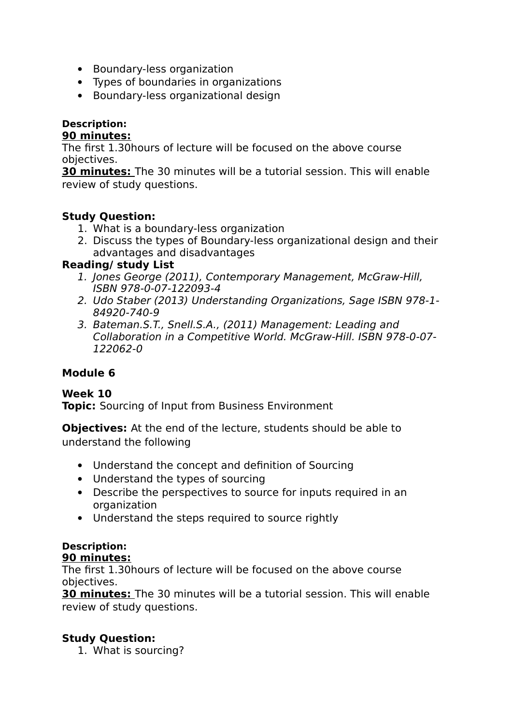- Boundary-less organization
- Types of boundaries in organizations
- Boundary-less organizational design

#### **Description:**

#### **90 minutes:**

The first 1.30hours of lecture will be focused on the above course objectives.

**30 minutes:** The 30 minutes will be a tutorial session. This will enable review of study questions.

#### **Study Question:**

- 1. What is a boundary-less organization
- 2. Discuss the types of Boundary-less organizational design and their advantages and disadvantages

#### **Reading/ study List**

- 1. Jones George (2011), Contemporary Management, McGraw-Hill, ISBN 978-0-07-122093-4
- 2. Udo Staber (2013) Understanding Organizations, Sage ISBN 978-1- 84920-740-9
- 3. Bateman.S.T., Snell.S.A., (2011) Management: Leading and Collaboration in a Competitive World. McGraw-Hill. ISBN 978-0-07- 122062-0

## **Module 6**

**Week 10 Topic:** Sourcing of Input from Business Environment

**Objectives:** At the end of the lecture, students should be able to understand the following

- Understand the concept and definition of Sourcing
- Understand the types of sourcing
- Describe the perspectives to source for inputs required in an organization
- Understand the steps required to source rightly

## **Description:**

#### **90 minutes:**

The first 1.30hours of lecture will be focused on the above course objectives.

**30 minutes:** The 30 minutes will be a tutorial session. This will enable review of study questions.

## **Study Question:**

1. What is sourcing?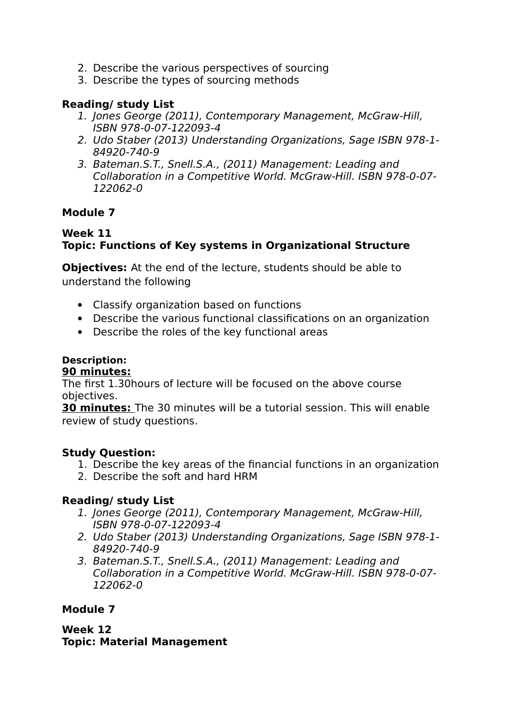- 2. Describe the various perspectives of sourcing
- 3. Describe the types of sourcing methods

### **Reading/ study List**

- 1. Jones George (2011), Contemporary Management, McGraw-Hill, ISBN 978-0-07-122093-4
- 2. Udo Staber (2013) Understanding Organizations, Sage ISBN 978-1- 84920-740-9
- 3. Bateman.S.T., Snell.S.A., (2011) Management: Leading and Collaboration in a Competitive World. McGraw-Hill. ISBN 978-0-07- 122062-0

## **Module 7**

#### **Week 11 Topic: Functions of Key systems in Organizational Structure**

**Objectives:** At the end of the lecture, students should be able to understand the following

- Classify organization based on functions
- Describe the various functional classifications on an organization
- Describe the roles of the key functional areas

## **Description:**

#### **90 minutes:**

The first 1.30hours of lecture will be focused on the above course objectives.

**30 minutes:** The 30 minutes will be a tutorial session. This will enable review of study questions.

## **Study Question:**

- 1. Describe the key areas of the financial functions in an organization
- 2. Describe the soft and hard HRM

## **Reading/ study List**

- 1. Jones George (2011), Contemporary Management, McGraw-Hill, ISBN 978-0-07-122093-4
- 2. Udo Staber (2013) Understanding Organizations, Sage ISBN 978-1- 84920-740-9
- 3. Bateman.S.T., Snell.S.A., (2011) Management: Leading and Collaboration in a Competitive World. McGraw-Hill. ISBN 978-0-07- 122062-0

## **Module 7**

**Week 12 Topic: Material Management**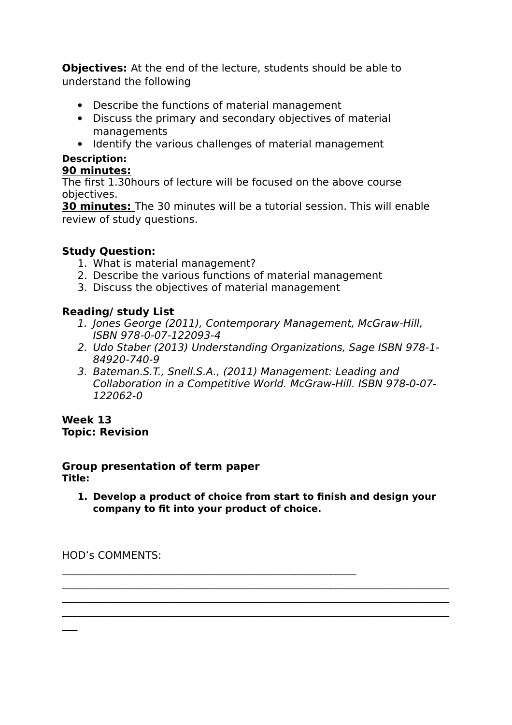**Objectives:** At the end of the lecture, students should be able to understand the following

- Describe the functions of material management
- Discuss the primary and secondary objectives of material managements
- Identify the various challenges of material management

## **Description:**

## **90 minutes:**

The first 1.30hours of lecture will be focused on the above course objectives.

**30 minutes:** The 30 minutes will be a tutorial session. This will enable review of study questions.

## **Study Question:**

- 1. What is material management?
- 2. Describe the various functions of material management
- 3. Discuss the objectives of material management

 $\mathcal{L}_\text{max} = \mathcal{L}_\text{max} = \mathcal{L}_\text{max} = \mathcal{L}_\text{max} = \mathcal{L}_\text{max} = \mathcal{L}_\text{max} = \mathcal{L}_\text{max} = \mathcal{L}_\text{max} = \mathcal{L}_\text{max} = \mathcal{L}_\text{max} = \mathcal{L}_\text{max} = \mathcal{L}_\text{max} = \mathcal{L}_\text{max} = \mathcal{L}_\text{max} = \mathcal{L}_\text{max} = \mathcal{L}_\text{max} = \mathcal{L}_\text{max} = \mathcal{L}_\text{max} = \mathcal{$ 

## **Reading/ study List**

- 1. Jones George (2011), Contemporary Management, McGraw-Hill, ISBN 978-0-07-122093-4
- 2. Udo Staber (2013) Understanding Organizations, Sage ISBN 978-1- 84920-740-9
- 3. Bateman.S.T., Snell.S.A., (2011) Management: Leading and Collaboration in a Competitive World. McGraw-Hill. ISBN 978-0-07- 122062-0

#### **Week 13 Topic: Revision**

## **Group presentation of term paper**

**Title:** 

 $\overline{\phantom{a}}$ 

**1. Develop a product of choice from start to finish and design your company to fit into your product of choice.**

 $\mathcal{L}_\mathcal{L} = \mathcal{L}_\mathcal{L} = \mathcal{L}_\mathcal{L} = \mathcal{L}_\mathcal{L} = \mathcal{L}_\mathcal{L} = \mathcal{L}_\mathcal{L} = \mathcal{L}_\mathcal{L} = \mathcal{L}_\mathcal{L} = \mathcal{L}_\mathcal{L} = \mathcal{L}_\mathcal{L} = \mathcal{L}_\mathcal{L} = \mathcal{L}_\mathcal{L} = \mathcal{L}_\mathcal{L} = \mathcal{L}_\mathcal{L} = \mathcal{L}_\mathcal{L} = \mathcal{L}_\mathcal{L} = \mathcal{L}_\mathcal{L}$  $\mathcal{L}_\mathcal{L} = \mathcal{L}_\mathcal{L} = \mathcal{L}_\mathcal{L} = \mathcal{L}_\mathcal{L} = \mathcal{L}_\mathcal{L} = \mathcal{L}_\mathcal{L} = \mathcal{L}_\mathcal{L} = \mathcal{L}_\mathcal{L} = \mathcal{L}_\mathcal{L} = \mathcal{L}_\mathcal{L} = \mathcal{L}_\mathcal{L} = \mathcal{L}_\mathcal{L} = \mathcal{L}_\mathcal{L} = \mathcal{L}_\mathcal{L} = \mathcal{L}_\mathcal{L} = \mathcal{L}_\mathcal{L} = \mathcal{L}_\mathcal{L}$  $\mathcal{L}_\mathcal{L} = \mathcal{L}_\mathcal{L} = \mathcal{L}_\mathcal{L} = \mathcal{L}_\mathcal{L} = \mathcal{L}_\mathcal{L} = \mathcal{L}_\mathcal{L} = \mathcal{L}_\mathcal{L} = \mathcal{L}_\mathcal{L} = \mathcal{L}_\mathcal{L} = \mathcal{L}_\mathcal{L} = \mathcal{L}_\mathcal{L} = \mathcal{L}_\mathcal{L} = \mathcal{L}_\mathcal{L} = \mathcal{L}_\mathcal{L} = \mathcal{L}_\mathcal{L} = \mathcal{L}_\mathcal{L} = \mathcal{L}_\mathcal{L}$ 

HOD's COMMENTS: